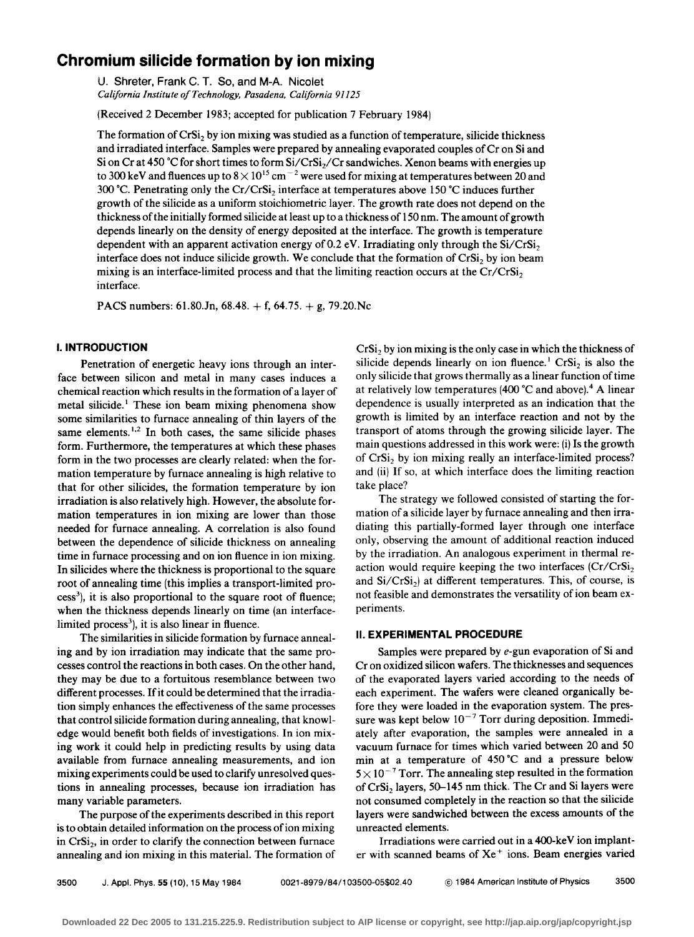# **Chromium silicide formation by ion mixing**

U. Shreter, Frank C. T. So, and M-A. Nicolet *California Institute of Technology, Pasadena, Cailfornia 91125* 

(Received 2 December 1983; accepted for publication 7 February 1984)

The formation of CrSi<sub>2</sub> by ion mixing was studied as a function of temperature, silicide thickness and irradiated interface. Samples were prepared by annealing evaporated couples of Cr on Si and Si on Cr at 450 °C for short times to form  $Si/CrSi<sub>2</sub>/Cr$  sandwiches. Xenon beams with energies up to 300 keV and fluences up to  $8 \times 10^{15}$  cm<sup>-2</sup> were used for mixing at temperatures between 20 and 300 °C. Penetrating only the Cr/CrSi<sub>2</sub> interface at temperatures above 150 °C induces further growth of the silicide as a uniform stoichiometric layer. The growth rate does not depend on the thickness of the initially formed silicide at least up to a thickness of 150 nm. The amount of growth depends linearly on the density of energy deposited at the interface. The growth is temperature dependent with an apparent activation energy of 0.2 eV. Irradiating only through the  $Si/CrSi<sub>2</sub>$ interface does not induce silicide growth. We conclude that the formation of CrSi<sub>2</sub> by ion beam mixing is an interface-limited process and that the limiting reaction occurs at the  $Cr/CrSi<sub>2</sub>$ interface.

PACS numbers: 61.80.Jn, 68.48. + f, 64.75. + g, 79.20.Nc

#### I. **INTRODUCTION**

Penetration of energetic heavy ions through an interface between silicon and metal in many cases induces a chemical reaction which results in the formation of a layer of metal silicide.<sup>1</sup> These ion beam mixing phenomena show some similarities to furnace annealing of thin layers of the same elements.<sup>1,2</sup> In both cases, the same silicide phases form. Furthermore, the temperatures at which these phases form in the two processes are clearly related: when the formation temperature by furnace annealing is high relative to that for other silicides, the formation temperature by ion irradiation is also relatively high. However, the absolute formation temperatures in ion mixing are lower than those needed for furnace annealing. A correlation is also found between the dependence of silicide thickness on annealing time in furnace processing and on ion fluence in ion mixing. In silicides where the thickness is proportional to the square root of annealing time (this implies a transport-limited pro $cess<sup>3</sup>$ , it is also proportional to the square root of fluence; when the thickness depends linearly on time (an interfacelimited process<sup>3</sup>), it is also linear in fluence.

The similarities in silicide formation by furnace annealing and by ion irradiation may indicate that the same processes control the reactions in both cases. On the other hand, they may be due to a fortuitous resemblance between two different processes. If it could be determined that the irradiation simply enhances the effectiveness of the same processes that control silicide formation during annealing, that knowledge would benefit both fields of investigations. In ion mixing work it could help in predicting results by using data available from furnace annealing measurements, and ion mixing experiments could be used to clarify unresolved questions in annealing processes, because ion irradiation has many variable parameters.

The purpose of the experiments described in this report is to obtain detailed information on the process of ion mixing in  $CrSi<sub>2</sub>$ , in order to clarify the connection between furnace annealing and ion mixing in this material. The formation of

CrSi<sub>2</sub> by ion mixing is the only case in which the thickness of silicide depends linearly on ion fluence.<sup>1</sup> CrSi<sub>2</sub> is also the only silicide that grows thermally as a linear function of time at relatively low temperatures (400  $^{\circ}$ C and above).<sup>4</sup> A linear dependence is usually interpreted as an indication that the growth is limited by an interface reaction and not by the transport of atoms through the growing silicide layer. The main questions addressed in this work were: (i) Is the growth of CrSi<sub>2</sub> by ion mixing really an interface-limited process? and (ii) If so, at which interface does the limiting reaction take place?

The strategy we followed consisted of starting the formation of a silicide layer by furnace annealing and then irradiating this partially-formed layer through one interface only, observing the amount of additional reaction induced by the irradiation. An analogous experiment in thermal re· action would require keeping the two interfaces  $(Cr/CrSi<sub>2</sub>)$ and  $Si/CrSi<sub>2</sub>$ ) at different temperatures. This, of course, is not feasible and demonstrates the versatility of ion beam experiments.

#### II. **EXPERIMENTAL PROCEDURE**

Samples were prepared by e-gun evaporation of Si and Cr on oxidized silicon wafers. The thicknesses and sequences of the evaporated layers varied according to the needs of each experiment. The wafers were cleaned organically before they were loaded in the evaporation system. The pressure was kept below  $10^{-7}$  Torr during deposition. Immediately after evaporation, the samples were annealed in a vacuum furnace for times which varied between 20 and 50 min at a temperature of  $450^{\circ}$ C and a pressure below  $5 \times 10^{-7}$  Torr. The annealing step resulted in the formation of  $CrSi<sub>2</sub>$  layers, 50-145 nm thick. The Cr and Si layers were not consumed completely in the reaction so that the silicide layers were sandwiched between the excess amounts of the unreacted elements.

Irradiations were carried out in a 400-keV ion implanter with scanned beams of  $Xe<sup>+</sup>$  ions. Beam energies varied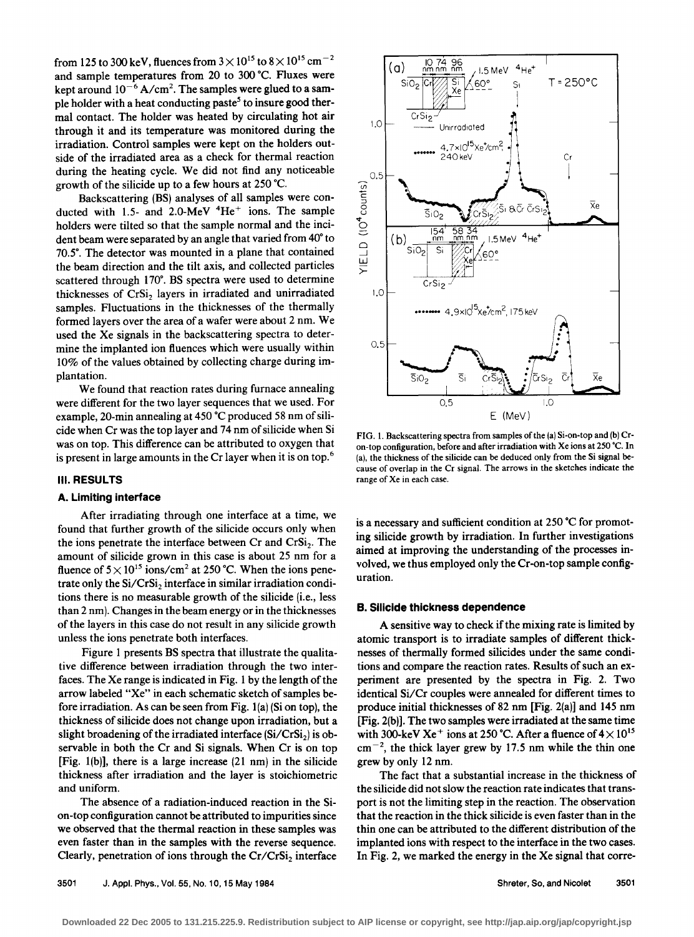from 125 to 300 keV, fluences from  $3\times10^{15}$  to  $8\times10^{15}$  cm<sup>-2</sup> and sample temperatures from 20 to 300 °C. Fluxes were kept around  $10^{-6}$  A/cm<sup>2</sup>. The samples were glued to a sample holder with a heat conducting paste<sup>5</sup> to insure good thermal contact. The holder was heated by circulating hot air through it and its temperature was monitored during the irradiation. Control samples were kept on the holders outside of the irradiated area as a check for thermal reaction during the heating cycle. We did not find any noticeable growth of the silicide up to a few hours at  $250^{\circ}$ C.

Backscattering (BS) analyses of all samples were conducted with 1.5- and 2.0-MeV  $4He<sup>+</sup>$  ions. The sample holders were tilted so that the sample normal and the incident beam were separated by an angle that varied from 40• to 70.5". The detector was mounted in a plane that contained the beam direction and the tilt axis, and collected particles scattered through 170°. BS spectra were used to determine thicknesses of CrSi<sub>2</sub> layers in irradiated and unirradiated samples. Fluctuations in the thicknesses of the thermally formed layers over the area of a wafer were about 2 nm. We used the Xe signals in the backscattering spectra to determine the implanted ion fluences which were usually within 10% of the values obtained by collecting charge during implantation.

We found that reaction rates during furnace annealing were different for the two layer sequences that we used. For example, 20-min annealing at 450 °C produced 58 nm of silicide when Cr was the top layer and 74 nm of silicide when Si was on top. This difference can be attributed to oxygen that is present in large amounts in the Cr layer when it is on top.<sup>6</sup>

#### Ill. **RESULTS**

#### **A. Limiting interface**

After irradiating through one interface at a time, we found that further growth of the silicide occurs only when the ions penetrate the interface between Cr and  $CrSi<sub>2</sub>$ . The amount of silicide grown in this case is about 25 nm for a fluence of  $5 \times 10^{15}$  ions/cm<sup>2</sup> at 250 °C. When the ions penetrate only the Si/CrSi<sub>2</sub> interface in similar irradiation conditions there is no measurable growth of the silicide (i.e., less than 2 nm). Changes in the beam energy or in the thicknesses of the layers in this case do not result in any silicide growth unless the ions penetrate both interfaces.

Figure 1 presents BS spectra that illustrate the qualitative difference between irradiation through the two interfaces. The Xe range is indicated in Fig. 1 by the length of the arrow labeled "Xe" in each schematic sketch of samples before irradiation. As can be seen from Fig. 1(a) (Si on top), the thickness of silicide does not change upon irradiation, but a slight broadening of the irradiated interface  $(Si/CrSi<sub>2</sub>)$  is observable in both the Cr and Si signals. When Cr is on top [Fig. l(b)], there is a large increase (21 nm) in the silicide thickness after irradiation and the layer is stoichiometric and uniform.

The absence of a radiation-induced reaction in the Sion-top configuration cannot be attributed to impurities since we observed that the thermal reaction in these samples was even faster than in the samples with the reverse sequence. Clearly, penetration of ions through the  $Cr/CrSi<sub>2</sub>$  interface



FIG. 1. Backscattering spectra from samples of the (a) Si-on-top and (b) Cron-top configuration, before and after irradiation with Xe ions at 250 'C. In (a), the thickness of the silicide can be deduced only from the Si signal because of overlap in the Cr signal. The arrows in the sketches indicate the range of Xe in each case.

is a necessary and sufficient condition at  $250$  °C for promoting silicide growth by irradiation. In further investigations aimed at improving the understanding of the processes involved, we thus employed only the Cr-on-top sample configuration.

#### **B. Silicide thickness dependence**

A sensitive way to check if the mixing rate is limited by atomic transport is to irradiate samples of different thicknesses of thermally formed silicides under the same conditions and compare the reaction rates. Results of such an experiment are presented by the spectra in Fig. 2. Two identical Si/Cr couples were annealed for different times to produce initial thicknesses of 82 nm [Fig. 2(a)] and 145 nm [Fig. 2(b)]. The two samples were irradiated at the same time with 300-keV Xe<sup>+</sup> ions at 250 °C. After a fluence of  $4 \times 10^{15}$  $cm^{-2}$ , the thick layer grew by 17.5 nm while the thin one grew by only 12 nm.

The fact that a substantial increase in the thickness of the silicide did not slow the reaction rate indicates that transport is not the limiting step in the reaction. The observation that the reaction in the thick silicide is even faster than in the thin one can be attributed to the different distribution of the implanted ions with respect to the interface in the two cases. In Fig. 2, we marked the energy in the Xe signal that corre-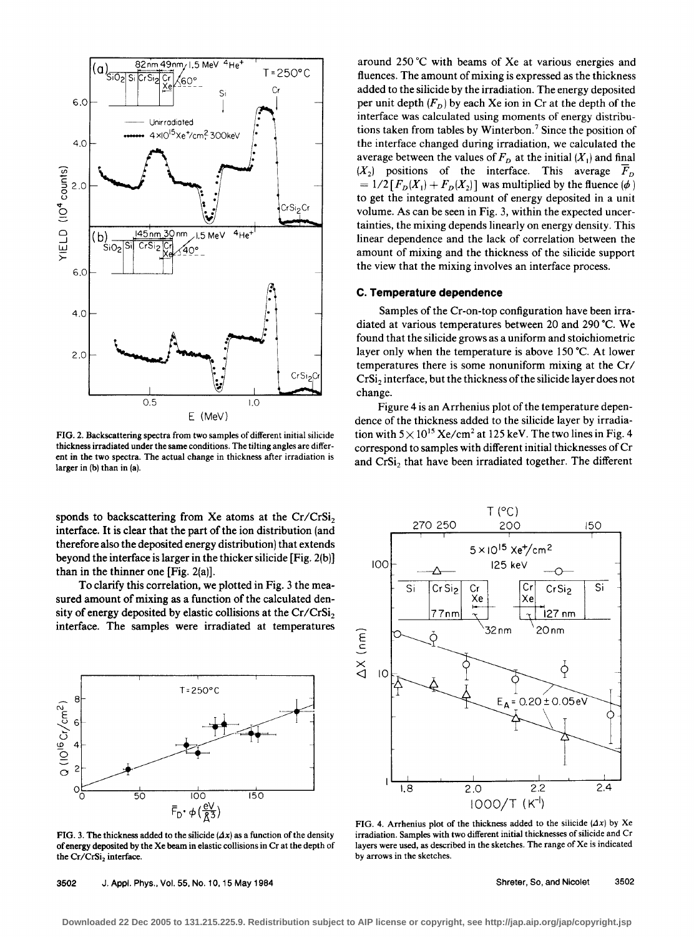

FIG. 2. Backscattering spectra from two samples of different initial silicide thickness irradiated under the same conditions. The tilting angles are different in the two spectra. The actual change in thickness after irradiation is larger in (b) than in (a).

sponds to backscattering from Xe atoms at the  $Cr/CrSi<sub>2</sub>$ interface. It is clear that the part of the ion distribution (and therefore also the deposited energy distribution) that extends beyond the interface is larger in the thicker silicide [Fig. 2(b )] than in the thinner one [Fig. 2(a)].

To clarify this correlation, we plotted in Fig. 3 the measured amount of mixing as a function of the calculated density of energy deposited by elastic collisions at the  $Cr/CrSi<sub>2</sub>$ interface. The samples were irradiated at temperatures



FIG. 3. The thickness added to the silicide  $(\Delta x)$  as a function of the density of energy deposited by the Xe beam in elastic collisions in Cr at the depth of the Cr/CrSi<sub>2</sub> interface.

3502 J. Appl. Phys., Vol. 55, No. 10,15 May 1984

around 250 °C with beams of Xe at various energies and fluences. The amount of mixing is expressed as the thickness added to the silicide by the irradiation. The energy deposited per unit depth  $(F<sub>p</sub>)$  by each Xe ion in Cr at the depth of the interface was calculated using moments of energy distributions taken from tables by Winterbon.<sup>7</sup> Since the position of the interface changed during irradiation, we calculated the average between the values of  $F<sub>D</sub>$  at the initial  $(X<sub>1</sub>)$  and final  $(X_2)$  positions of the interface. This average  $\overline{F}_D$  $=1/2$  [ $F_D(X_1) + F_D(X_2)$ ] was multiplied by the fluence ( $\phi$ ) to get the integrated amount of energy deposited in a unit volume. As can be seen in Fig. 3, within the expected uncertainties, the mixing depends linearly on energy density. This linear dependence and the lack of correlation between the amount of mixing and the thickness of the silicide support the view that the mixing involves an interface process.

#### **C. Temperature dependence**

Samples of the Cr-on-top configuration have been irradiated at various temperatures between 20 and 290 °C. We found that the silicide grows as a uniform and stoichiometric layer only when the temperature is above 150 °C. At lower temperatures there is some nonuniform mixing at the Cr/ CrSi<sub>2</sub> interface, but the thickness of the silicide layer does not change.

Figure 4 is an Arrhenius plot of the temperature dependence of the thickness added to the silicide layer by irradiation with  $5 \times 10^{15}$  Xe/cm<sup>2</sup> at 125 keV. The two lines in Fig. 4 correspond to samples with different initial thicknesses of Cr and CrSi<sub>2</sub> that have been irradiated together. The different



FIG. 4. Arrhenius plot of the thickness added to the silicide  $(\Delta x)$  by Xe irradiation. Samples with two different initial thicknesses of silicide and Cr layers were used, as described in the sketches. The range of Xe is indicated by arrows in the sketches.

Shreter, So, and Nicolet 3502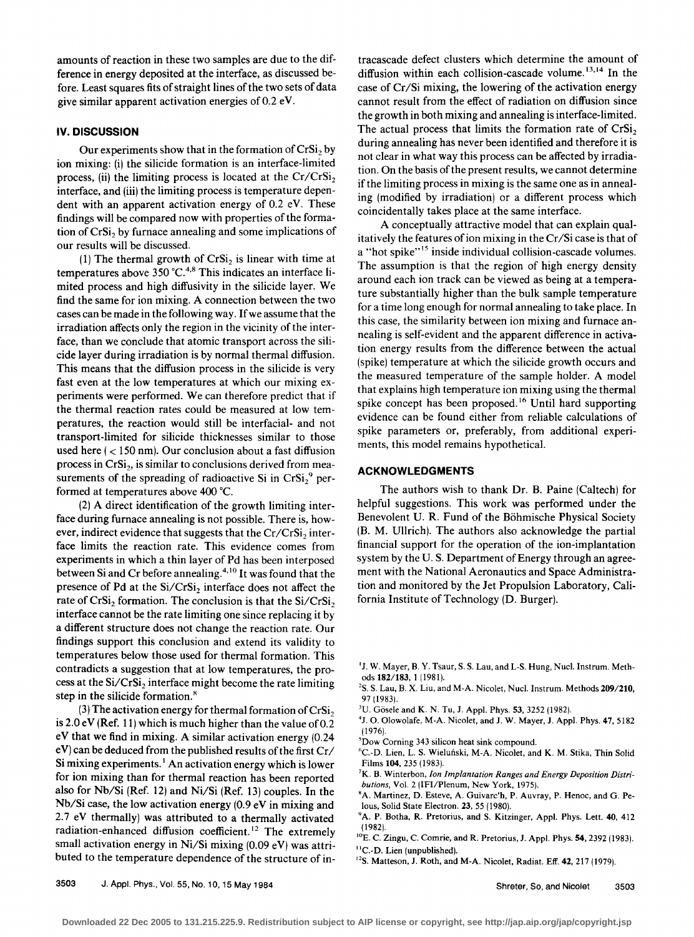amounts of reaction in these two samples are due to the difference in energy deposited at the interface, as discussed before. Least squares fits of straight lines of the two sets of data give similar apparent activation energies of 0.2 eV.

## IV. **DISCUSSION**

Our experiments show that in the formation of  $CrSi<sub>2</sub>$  by ion mixing: (i) the silicide formation is an interface-limited process, (ii) the limiting process is located at the  $Cr/CrSi<sub>2</sub>$ interface, and (iii) the limiting process is temperature dependent with an apparent activation energy of 0.2 eV. These findings will be compared now with properties of the formation of CrSi<sub>2</sub> by furnace annealing and some implications of our results will be discussed.

(1) The thermal growth of  $CrSi<sub>2</sub>$  is linear with time at temperatures above 350 °C.<sup>4,8</sup> This indicates an interface limited process and high diffusivity in the silicide layer. We find the same for ion mixing. A connection between the two cases can be made in the following way. If we assume that the irradiation affects only the region in the vicinity of the interface, than we conclude that atomic transport across the silicide layer during irradiation is by normal thermal diffusion. This means that the diffusion process in the silicide is very fast even at the low temperatures at which our mixing experiments were performed. We can therefore predict that if the thermal reaction rates could be measured at low temperatures, the reaction would still be interfacial- and not transport-limited for silicide thicknesses similar to those used here  $\left($  < 150 nm). Our conclusion about a fast diffusion process in CrSi<sub>2</sub>, is similar to conclusions derived from measurements of the spreading of radioactive Si in CrSi<sub>2</sub><sup>9</sup> performed at temperatures above 400 °C.

(2) A direct identification of the growth limiting interface during furnace annealing is not possible. There is, however, indirect evidence that suggests that the  $Cr/CrSi<sub>2</sub>$  interface limits the reaction rate. This evidence comes from experiments in which a thin layer of Pd has been interposed between Si and Cr before annealing.<sup>4,10</sup> It was found that the presence of Pd at the Si/CrSi<sub>2</sub> interface does not affect the rate of  $CrSi<sub>2</sub>$  formation. The conclusion is that the  $Si/CrSi<sub>2</sub>$ interface cannot be the rate limiting one since replacing it by a different structure does not change the reaction rate. Our findings support this conclusion and extend its validity to temperatures below those used for thermal formation. This contradicts a suggestion that at low temperatures, the process at the Si/CrSi<sub>2</sub> interface might become the rate limiting step in the silicide formation.<sup>8</sup>

(3) The activation energy for thermal formation of  $CrSi<sub>2</sub>$ is 2.0 eV (Ref. 11) which is much higher than the value of  $0.2$ eV that we find in mixing. A similar activation energy (0.24 eV) can be deduced from the published results of the first Cr/ Si mixing experiments.<sup>1</sup> An activation energy which is lower for ion mixing than for thermal reaction has been reported also for  $Nb/Si$  (Ref. 12) and  $Ni/Si$  (Ref. 13) couples. In the Nb/Si case, the low activation energy (0.9 eV in mixing and 2.7 eV thermally) was attributed to a thermally activated radiation-enhanced diffusion coefficient. 12 The extremely small activation energy in Ni/Si mixing (0.09 eV) was attributed to the temperature dependence of the structure of intracascade defect clusters which determine the amount of diffusion within each collision-cascade volume.<sup>13,14</sup> In the case of Cr/Si mixing, the lowering of the activation energy cannot result from the effect of radiation on diffusion since the growth in both mixing and annealing is interface-limited. The actual process that limits the formation rate of  $CrSi<sub>2</sub>$ during annealing has never been identified and therefore it is not clear in what way this process can be affected by irradiation. On the basis of the present results, we cannot determine if the limiting process in mixing is the same one as in annealing (modified by irradiation) or a different process which coincidentally takes place at the same interface.

A conceptually attractive model that can explain qualitatively the features of ion mixing in the Cr/Si case is that of a "hot spike"<sup>15</sup> inside individual collision-cascade volumes. The assumption is that the region of high energy density around each ion track can be viewed as being at a temperature substantially higher than the bulk sample temperature for a time long enough for normal annealing to take place. In this case, the similarity between ion mixing and furnace annealing is self-evident and the apparent difference in activation energy results from the difference between the actual (spike) temperature at which the silicide growth occurs and the measured temperature of the sample holder. A model that explains high temperature ion mixing using the thermal spike concept has been proposed. 16 Until hard supporting evidence can be found either from reliable calculations of spike parameters or, preferably, from additional experiments, this model remains hypothetical.

### **ACKNOWLEDGMENTS**

The authors wish to thank Dr. B. Paine (Caltech) for helpful suggestions. This work was performed under the Benevolent U. R. Fund of the Bohmische Physical Society (B. M. Ullrich). The authors also acknowledge the partial financial support for the operation of the ion-implantation system by the U.S. Department of Energy through an agreement with the National Aeronautics and Space Administration and monitored by the Jet Propulsion Laboratory, California Institute of Technology (D. Burger).

- $2$ S. S. Lau, B. X. Liu, and M-A. Nicolet, Nucl. Instrum. Methods  $209/210$ ,
- 97 (1983).<br><sup>3</sup>U. Gösele and K. N. Tu, J. Appl. Phys. **53**, 3252 (1982).
- *4 1.* 0. Olowolafe, M-A. Nicolet, and J. W. Mayer, J. Appl. Phys. 47, 5182 (1976).
- ${}^{5}$ Dow Corning 343 silicon heat sink compound.<br> ${}^{6}C$  D, Lian J, S. Wielwicki, M.A. Nicolat.org
- C.-D. Lien, L. S. Wielunski, M-A. Nicolet, and K. M. Stika, Thin Solid Films 104, 235 (1983).
- K. B. Winterbon, *Ion Implantation Ranges and Energy Deposition Distributions, Vol. 2 (IFI/Plenum, New York, 1975).*
- <sup>8</sup>A. Martinez, D. Esteve, A. Guivarc'h, P. Auvray, P. Henoc, and G. Pelous, Solid State Electron. 23, 55 (1980).<br><sup>9</sup>A. P. Botha, R. Pretorius, and S. Kitzinger, Appl. Phys. Lett. 40, 412
- (1982).
- 10E. C. Zingu, C. Comrie, and R. Pretorius, J. Appl. Phys. 54,2392 (1983).
- 
- <sup>11</sup>C.-D. Lien (unpublished).<br><sup>12</sup>S. Matteson, J. Roth, and M-A. Nicolet, Radiat. Eff. 42, 217 (1979).

Shreter, So, and Nicolet 3503

<sup>&#</sup>x27;J. W. Mayer, B. Y. Tsaur, S. S. Lau, and L-S. Hung, Nucl. Instrum. Methods 182/183, 1 (1981).